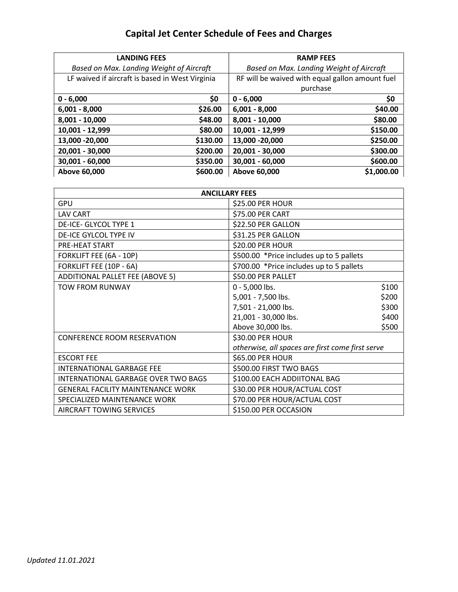## Capital Jet Center Schedule of Fees and Charges

| <b>LANDING FEES</b>                             |          | <b>RAMP FEES</b>                                |            |  |
|-------------------------------------------------|----------|-------------------------------------------------|------------|--|
| Based on Max. Landing Weight of Aircraft        |          | Based on Max. Landing Weight of Aircraft        |            |  |
| LF waived if aircraft is based in West Virginia |          | RF will be waived with equal gallon amount fuel |            |  |
|                                                 |          | purchase                                        |            |  |
| $0 - 6,000$                                     | \$0      | $0 - 6,000$                                     | \$0        |  |
| $6,001 - 8,000$                                 | \$26.00  | $6,001 - 8,000$                                 | \$40.00    |  |
| 8,001 - 10,000                                  | \$48.00  | 8,001 - 10,000                                  | \$80.00    |  |
| 10,001 - 12,999                                 | \$80.00  | 10,001 - 12,999                                 | \$150.00   |  |
| 13,000 - 20,000                                 | \$130.00 | 13,000 - 20,000                                 | \$250.00   |  |
| 20,001 - 30,000                                 | \$200.00 | 20,001 - 30,000                                 | \$300.00   |  |
| 30,001 - 60,000                                 | \$350.00 | 30,001 - 60,000                                 | \$600.00   |  |
| Above 60,000                                    | \$600.00 | Above 60,000                                    | \$1,000.00 |  |

| <b>ANCILLARY FEES</b>                      |                                                  |       |  |  |  |
|--------------------------------------------|--------------------------------------------------|-------|--|--|--|
| GPU                                        | \$25.00 PER HOUR                                 |       |  |  |  |
| LAV CART                                   | \$75.00 PER CART                                 |       |  |  |  |
| DE-ICE- GLYCOL TYPE 1                      | \$22.50 PER GALLON                               |       |  |  |  |
| DE-ICE GYLCOL TYPE IV                      | \$31.25 PER GALLON                               |       |  |  |  |
| PRE-HEAT START                             | \$20.00 PER HOUR                                 |       |  |  |  |
| FORKLIFT FEE (6A - 10P)                    | \$500.00 *Price includes up to 5 pallets         |       |  |  |  |
| FORKLIFT FEE (10P - 6A)                    | \$700.00 *Price includes up to 5 pallets         |       |  |  |  |
| ADDITIONAL PALLET FEE (ABOVE 5)            | \$50.00 PER PALLET                               |       |  |  |  |
| <b>TOW FROM RUNWAY</b>                     | 0 - 5,000 lbs.                                   | \$100 |  |  |  |
|                                            | 5,001 - 7,500 lbs.                               | \$200 |  |  |  |
|                                            | 7,501 - 21,000 lbs.                              | \$300 |  |  |  |
|                                            | 21,001 - 30,000 lbs.                             | \$400 |  |  |  |
|                                            | Above 30,000 lbs.                                | \$500 |  |  |  |
| <b>CONFERENCE ROOM RESERVATION</b>         | \$30.00 PER HOUR                                 |       |  |  |  |
|                                            | otherwise, all spaces are first come first serve |       |  |  |  |
| <b>ESCORT FEE</b>                          | \$65.00 PER HOUR                                 |       |  |  |  |
| <b>INTERNATIONAL GARBAGE FEE</b>           | \$500.00 FIRST TWO BAGS                          |       |  |  |  |
| <b>INTERNATIONAL GARBAGE OVER TWO BAGS</b> | \$100.00 EACH ADDIITONAL BAG                     |       |  |  |  |
| <b>GENERAL FACILITY MAINTENANCE WORK</b>   | \$30.00 PER HOUR/ACTUAL COST                     |       |  |  |  |
| SPECIALIZED MAINTENANCE WORK               | \$70.00 PER HOUR/ACTUAL COST                     |       |  |  |  |
| <b>AIRCRAFT TOWING SERVICES</b>            | \$150.00 PER OCCASION                            |       |  |  |  |